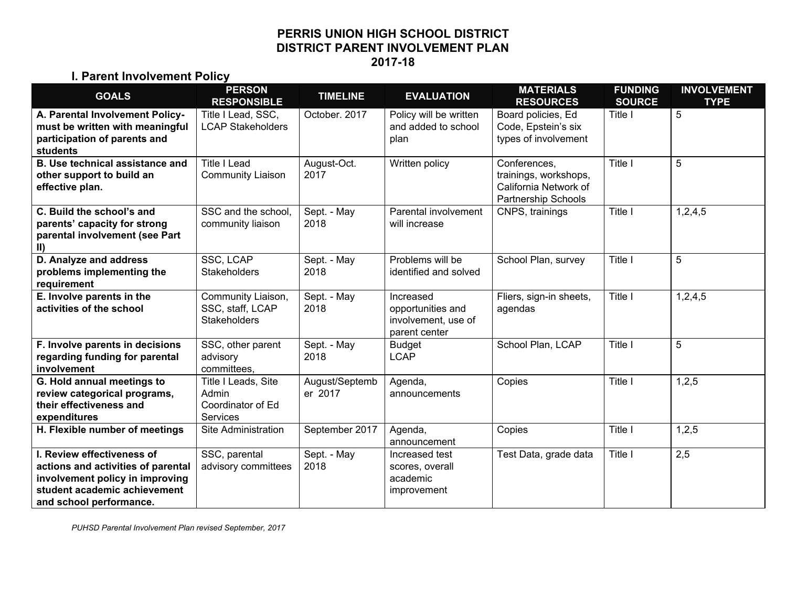#### **PERRIS UNION HIGH SCHOOL DISTRICT DISTRICT PARENT INVOLVEMENT PLAN 2017-18**

#### **I. Parent Involvement Policy**

| <b>GOALS</b>                                                                                                                                                   | <b>PERSON</b><br><b>RESPONSIBLE</b>                                  | <b>TIMELINE</b>           | <b>EVALUATION</b>                                                      | <b>MATERIALS</b><br><b>RESOURCES</b>                                                         | <b>FUNDING</b><br><b>SOURCE</b> | <b>INVOLVEMENT</b><br><b>TYPE</b> |
|----------------------------------------------------------------------------------------------------------------------------------------------------------------|----------------------------------------------------------------------|---------------------------|------------------------------------------------------------------------|----------------------------------------------------------------------------------------------|---------------------------------|-----------------------------------|
| A. Parental Involvement Policy-<br>must be written with meaningful<br>participation of parents and<br>students                                                 | Title I Lead, SSC,<br><b>LCAP Stakeholders</b>                       | October. 2017             | Policy will be written<br>and added to school<br>plan                  | Board policies, Ed<br>Code, Epstein's six<br>types of involvement                            | Title I                         | 5                                 |
| <b>B. Use technical assistance and</b><br>other support to build an<br>effective plan.                                                                         | <b>Title I Lead</b><br><b>Community Liaison</b>                      | August-Oct.<br>2017       | Written policy                                                         | Conferences,<br>trainings, workshops,<br>California Network of<br><b>Partnership Schools</b> | Title I                         | 5                                 |
| C. Build the school's and<br>parents' capacity for strong<br>parental involvement (see Part<br>$\vert$ II)                                                     | SSC and the school,<br>community liaison                             | Sept. - May<br>2018       | Parental involvement<br>will increase                                  | CNPS, trainings                                                                              | Title I                         | 1,2,4,5                           |
| D. Analyze and address<br>problems implementing the<br>requirement                                                                                             | SSC, LCAP<br><b>Stakeholders</b>                                     | Sept. - May<br>2018       | Problems will be<br>identified and solved                              | School Plan, survey                                                                          | Title I                         | 5                                 |
| E. Involve parents in the<br>activities of the school                                                                                                          | Community Liaison,<br>SSC, staff, LCAP<br><b>Stakeholders</b>        | Sept. - May<br>2018       | Increased<br>opportunities and<br>involvement, use of<br>parent center | Fliers, sign-in sheets,<br>agendas                                                           | Title I                         | 1,2,4,5                           |
| F. Involve parents in decisions<br>regarding funding for parental<br>involvement                                                                               | SSC, other parent<br>advisory<br>committees,                         | Sept. - May<br>2018       | <b>Budget</b><br><b>LCAP</b>                                           | School Plan, LCAP                                                                            | Title I                         | 5                                 |
| G. Hold annual meetings to<br>review categorical programs,<br>their effectiveness and<br>expenditures                                                          | Title I Leads, Site<br>Admin<br>Coordinator of Ed<br><b>Services</b> | August/Septemb<br>er 2017 | Agenda,<br>announcements                                               | Copies                                                                                       | Title I                         | 1,2,5                             |
| H. Flexible number of meetings                                                                                                                                 | Site Administration                                                  | September 2017            | Agenda,<br>announcement                                                | Copies                                                                                       | Title I                         | 1,2,5                             |
| I. Review effectiveness of<br>actions and activities of parental<br>involvement policy in improving<br>student academic achievement<br>and school performance. | SSC, parental<br>advisory committees                                 | Sept. - May<br>2018       | Increased test<br>scores, overall<br>academic<br>improvement           | Test Data, grade data                                                                        | Title I                         | 2,5                               |

*PUHSD Parental Involvement Plan revised September, 2017*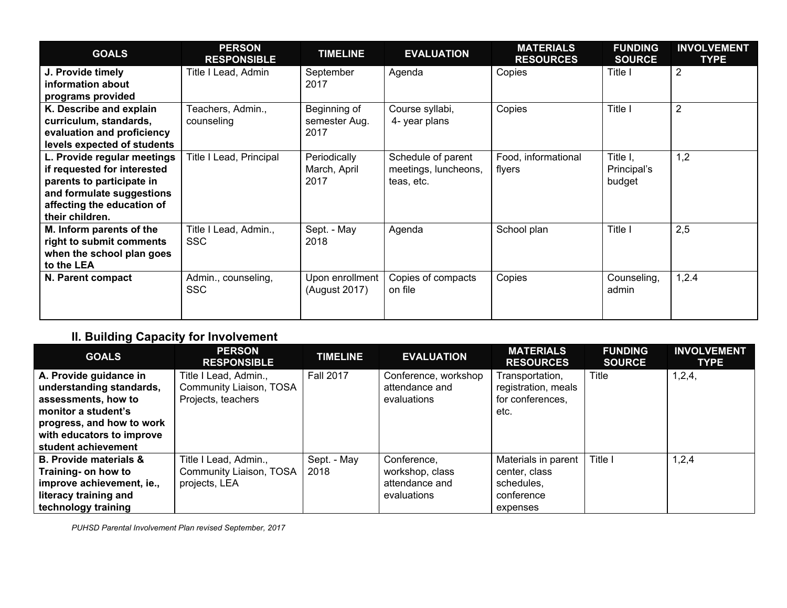| <b>GOALS</b>                                                                                                                                                          | <b>PERSON</b><br><b>RESPONSIBLE</b> | <b>TIMELINE</b>                       | <b>EVALUATION</b>                                        | <b>MATERIALS</b><br><b>RESOURCES</b> | <b>FUNDING</b><br><b>SOURCE</b>   | <b>INVOLVEMENT</b><br><b>TYPE</b> |
|-----------------------------------------------------------------------------------------------------------------------------------------------------------------------|-------------------------------------|---------------------------------------|----------------------------------------------------------|--------------------------------------|-----------------------------------|-----------------------------------|
| J. Provide timely<br>information about<br>programs provided                                                                                                           | Title I Lead, Admin                 | September<br>2017                     | Agenda                                                   | Copies                               | Title I                           | $\overline{2}$                    |
| K. Describe and explain<br>curriculum, standards,<br>evaluation and proficiency<br>levels expected of students                                                        | Teachers, Admin.,<br>counseling     | Beginning of<br>semester Aug.<br>2017 | Course syllabi,<br>4- year plans                         | Copies                               | Title I                           | $\overline{2}$                    |
| L. Provide regular meetings<br>if requested for interested<br>parents to participate in<br>and formulate suggestions<br>affecting the education of<br>their children. | Title I Lead, Principal             | Periodically<br>March, April<br>2017  | Schedule of parent<br>meetings, luncheons,<br>teas, etc. | Food, informational<br>flyers        | Title I,<br>Principal's<br>budget | 1,2                               |
| M. Inform parents of the<br>right to submit comments<br>when the school plan goes<br>to the LEA                                                                       | Title I Lead, Admin.,<br><b>SSC</b> | Sept. - May<br>2018                   | Agenda                                                   | School plan                          | Title I                           | 2,5                               |
| N. Parent compact                                                                                                                                                     | Admin., counseling,<br><b>SSC</b>   | Upon enrollment<br>(August 2017)      | Copies of compacts<br>on file                            | Copies                               | Counseling,<br>admin              | 1,2.4                             |

# **II. Building Capacity for Involvement**

| <b>GOALS</b>                      | <b>PERSON</b><br><b>RESPONSIBLE</b> | <b>TIMELINE</b>  | <b>EVALUATION</b>    | <b>MATERIALS</b><br><b>RESOURCES</b> | <b>FUNDING</b><br><b>SOURCE</b> | <b>INVOLVEMENT</b><br><b>TYPE</b> |
|-----------------------------------|-------------------------------------|------------------|----------------------|--------------------------------------|---------------------------------|-----------------------------------|
| A. Provide guidance in            | Title I Lead, Admin.,               | <b>Fall 2017</b> | Conference, workshop | Transportation,                      | Title                           | 1,2,4,                            |
| understanding standards,          | Community Liaison, TOSA             |                  | attendance and       | registration, meals                  |                                 |                                   |
| assessments, how to               | Projects, teachers                  |                  | evaluations          | for conferences,                     |                                 |                                   |
| monitor a student's               |                                     |                  |                      | etc.                                 |                                 |                                   |
| progress, and how to work         |                                     |                  |                      |                                      |                                 |                                   |
| with educators to improve         |                                     |                  |                      |                                      |                                 |                                   |
| student achievement               |                                     |                  |                      |                                      |                                 |                                   |
| <b>B. Provide materials &amp;</b> | Title I Lead, Admin.,               | Sept. - May      | Conference,          | Materials in parent                  | Title I                         | 1,2,4                             |
| Training- on how to               | Community Liaison, TOSA             | 2018             | workshop, class      | center, class                        |                                 |                                   |
| improve achievement, ie.,         | projects, LEA                       |                  | attendance and       | schedules.                           |                                 |                                   |
| literacy training and             |                                     |                  | evaluations          | conference                           |                                 |                                   |
| technology training               |                                     |                  |                      | expenses                             |                                 |                                   |

*PUHSD Parental Involvement Plan revised September, 2017*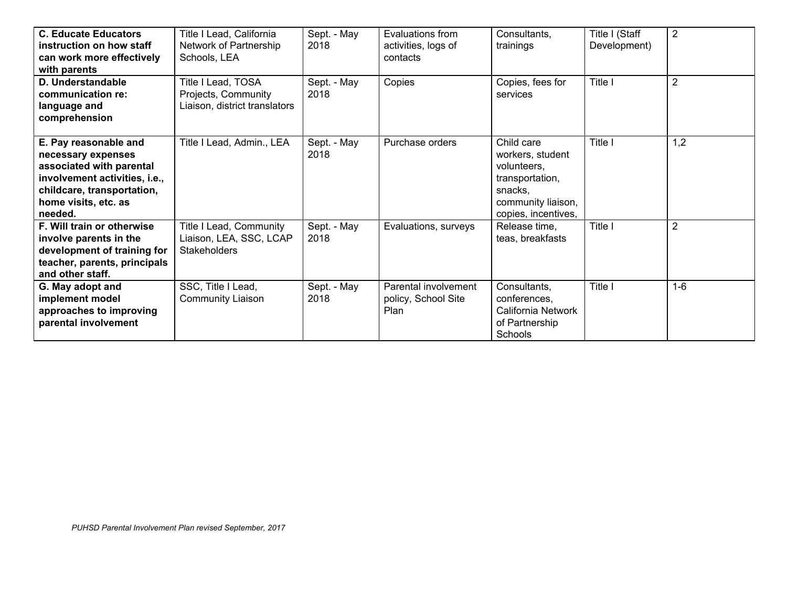| <b>C. Educate Educators</b><br>instruction on how staff<br>can work more effectively<br>with parents                                                                      | Title I Lead, California<br>Network of Partnership<br>Schools, LEA         | Sept. - May<br>2018 | Evaluations from<br>activities, logs of<br>contacts | Consultants.<br>trainings                                                                                                | Title I (Staff<br>Development) | $\overline{2}$ |
|---------------------------------------------------------------------------------------------------------------------------------------------------------------------------|----------------------------------------------------------------------------|---------------------|-----------------------------------------------------|--------------------------------------------------------------------------------------------------------------------------|--------------------------------|----------------|
| D. Understandable<br>communication re:<br>language and<br>comprehension                                                                                                   | Title I Lead, TOSA<br>Projects, Community<br>Liaison, district translators | Sept. - May<br>2018 | Copies                                              | Copies, fees for<br>services                                                                                             | Title I                        | $\overline{2}$ |
| E. Pay reasonable and<br>necessary expenses<br>associated with parental<br>involvement activities, i.e.,<br>childcare, transportation,<br>home visits, etc. as<br>needed. | Title I Lead, Admin., LEA                                                  | Sept. - May<br>2018 | Purchase orders                                     | Child care<br>workers, student<br>volunteers.<br>transportation,<br>snacks,<br>community liaison,<br>copies, incentives, | Title I                        | 1,2            |
| F. Will train or otherwise<br>involve parents in the<br>development of training for<br>teacher, parents, principals<br>and other staff.                                   | Title I Lead, Community<br>Liaison, LEA, SSC, LCAP<br><b>Stakeholders</b>  | Sept. - May<br>2018 | Evaluations, surveys                                | Release time,<br>teas, breakfasts                                                                                        | Title I                        | $\overline{2}$ |
| G. May adopt and<br>implement model<br>approaches to improving<br>parental involvement                                                                                    | SSC, Title I Lead,<br><b>Community Liaison</b>                             | Sept. - May<br>2018 | Parental involvement<br>policy, School Site<br>Plan | Consultants,<br>conferences,<br>California Network<br>of Partnership<br>Schools                                          | Title I                        | $1-6$          |